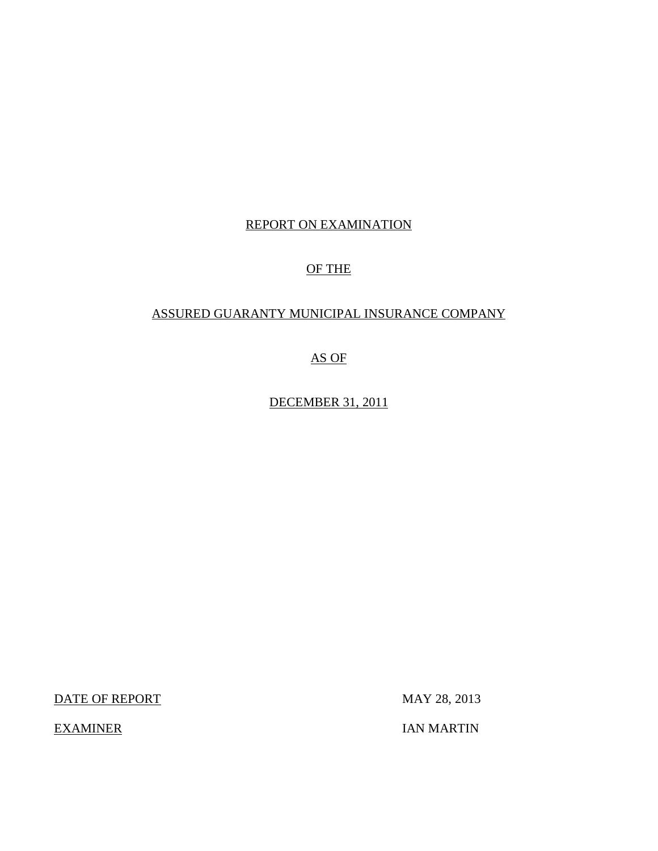## REPORT ON EXAMINATION

## OF THE

## ASSURED GUARANTY MUNICIPAL INSURANCE COMPANY

AS OF

DECEMBER 31, 2011

DATE OF REPORT MAY 28, 2013

EXAMINER IAN MARTIN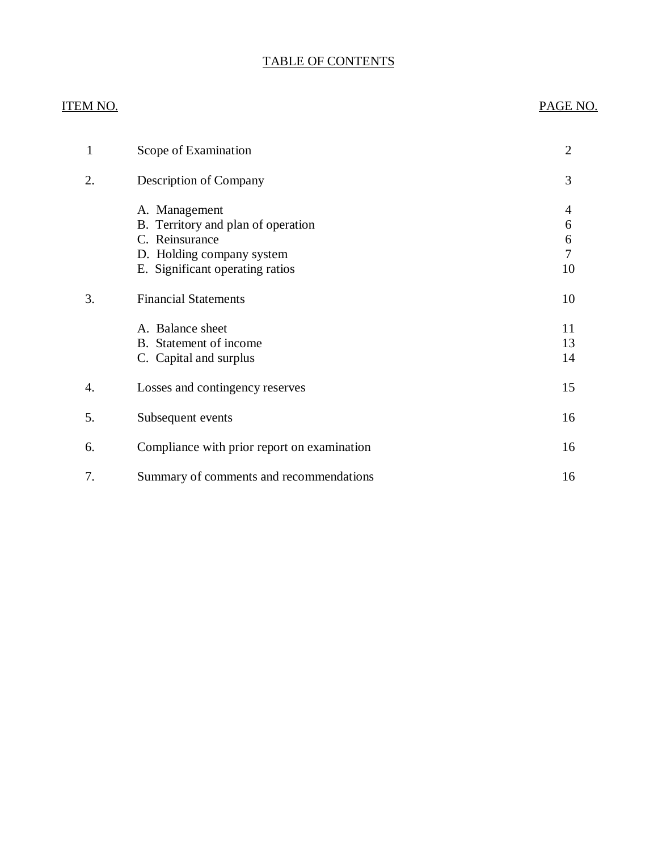## TABLE OF CONTENTS

# ITEM NO. PAGE NO. [1 Scope of Examination 2](#page-3-0) [2. Description of Company 3](#page-4-0) A. Management 4 [B. Territory and plan of operation 6](#page-7-0) [C. Reinsurance 6](#page-7-0) [D. Holding company system 7](#page-8-0) E. Significant operating ratios 10 3. Financial Statements 10 A. Balance sheet 11 B. Statement of income 13 C. Capital and surplus 14 [4. Losses and contingency reserves 15](#page-16-0) [5. Subsequent events 16](#page-17-0) [6. Compliance with prior report on examination 16](#page-17-0) [7. Summary of comments and recommendations 16](#page-17-0)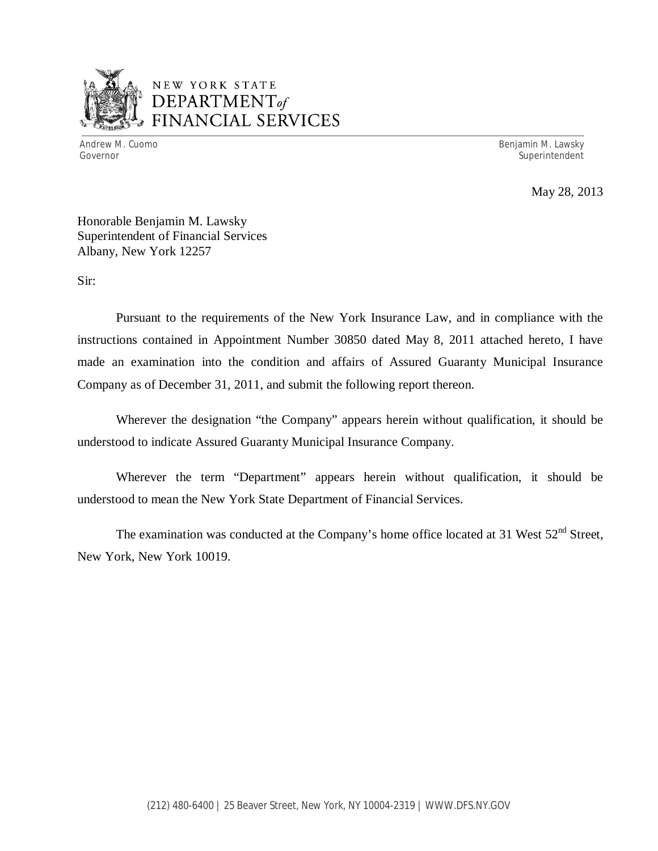

## NEW YORK STATE *DEPARTMENTof*  FINANCIAL SERVICES

Andrew M. Cuomo **Benjamin M. Lawsky** Governor Superintendent Superintendent Superintendent Superintendent Superintendent Superintendent Superintendent

May 28, 2013

Honorable Benjamin M. Lawsky Superintendent of Financial Services Albany, New York 12257

Sir:

Pursuant to the requirements of the New York Insurance Law, and in compliance with the instructions contained in Appointment Number 30850 dated May 8, 2011 attached hereto, I have made an examination into the condition and affairs of Assured Guaranty Municipal Insurance Company as of December 31, 2011, and submit the following report thereon.

Wherever the designation "the Company" appears herein without qualification, it should be understood to indicate Assured Guaranty Municipal Insurance Company.

Wherever the term "Department" appears herein without qualification, it should be understood to mean the New York State Department of Financial Services.

The examination was conducted at the Company's home office located at 31 West  $52<sup>nd</sup>$  Street, New York, New York 10019.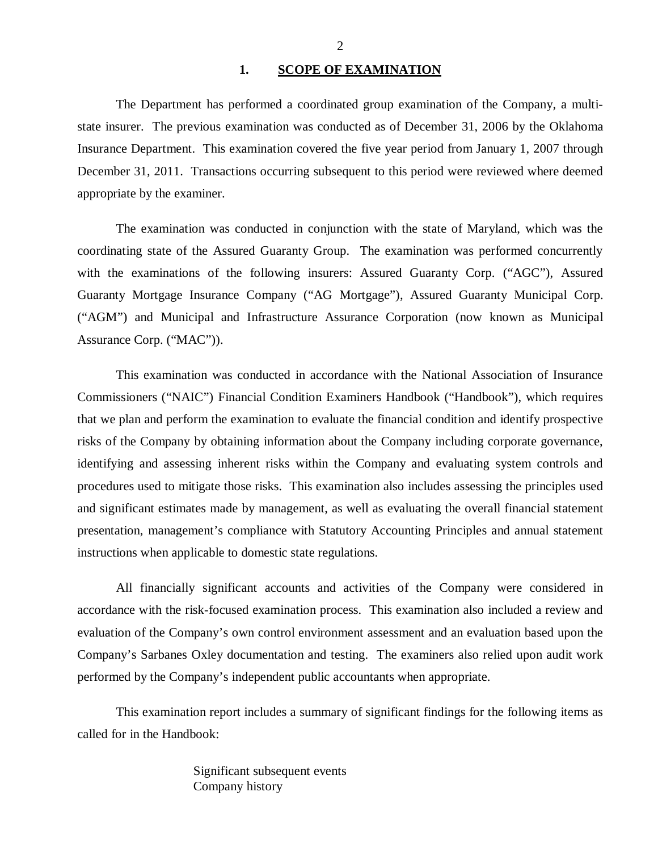#### 1. **SCOPE OF EXAMINATION**

<span id="page-3-0"></span>The Department has performed a coordinated group examination of the Company*,* a multistate insurer. The previous examination was conducted as of December 31, 2006 by the Oklahoma Insurance Department. This examination covered the five year period from January 1, 2007 through December 31, 2011. Transactions occurring subsequent to this period were reviewed where deemed appropriate by the examiner.

The examination was conducted in conjunction with the state of Maryland, which was the coordinating state of the Assured Guaranty Group. The examination was performed concurrently with the examinations of the following insurers: Assured Guaranty Corp. ("AGC"), Assured Guaranty Mortgage Insurance Company ("AG Mortgage"), Assured Guaranty Municipal Corp. ("AGM") and Municipal and Infrastructure Assurance Corporation (now known as Municipal Assurance Corp. ("MAC")).

This examination was conducted in accordance with the National Association of Insurance Commissioners ("NAIC") Financial Condition Examiners Handbook ("Handbook"), which requires that we plan and perform the examination to evaluate the financial condition and identify prospective risks of the Company by obtaining information about the Company including corporate governance, identifying and assessing inherent risks within the Company and evaluating system controls and procedures used to mitigate those risks. This examination also includes assessing the principles used and significant estimates made by management, as well as evaluating the overall financial statement presentation, management's compliance with Statutory Accounting Principles and annual statement instructions when applicable to domestic state regulations.

All financially significant accounts and activities of the Company were considered in accordance with the risk-focused examination process. This examination also included a review and evaluation of the Company's own control environment assessment and an evaluation based upon the Company's Sarbanes Oxley documentation and testing. The examiners also relied upon audit work performed by the Company's independent public accountants when appropriate.

This examination report includes a summary of significant findings for the following items as called for in the Handbook:

> Significant subsequent events Company history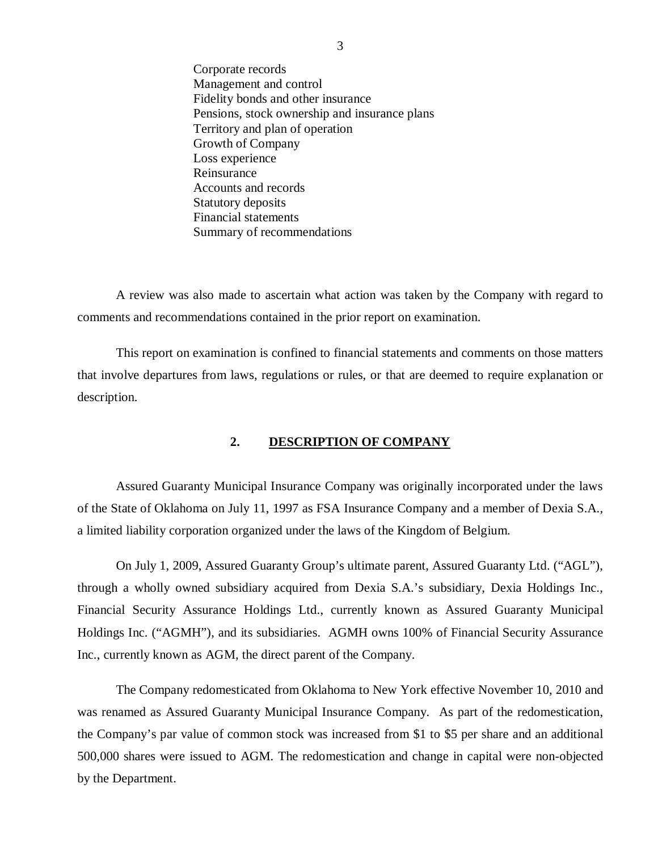<span id="page-4-0"></span>Corporate records Management and control Fidelity bonds and other insurance Pensions, stock ownership and insurance plans Territory and plan of operation Growth of Company Loss experience Reinsurance Accounts and records Statutory deposits Financial statements Summary of recommendations

A review was also made to ascertain what action was taken by the Company with regard to comments and recommendations contained in the prior report on examination.

This report on examination is confined to financial statements and comments on those matters that involve departures from laws, regulations or rules, or that are deemed to require explanation or description.

## **2. DESCRIPTION OF COMPANY**

Assured Guaranty Municipal Insurance Company was originally incorporated under the laws of the State of Oklahoma on July 11, 1997 as FSA Insurance Company and a member of Dexia S.A., a limited liability corporation organized under the laws of the Kingdom of Belgium.

On July 1, 2009, Assured Guaranty Group's ultimate parent, Assured Guaranty Ltd. ("AGL"), through a wholly owned subsidiary acquired from Dexia S.A.'s subsidiary, Dexia Holdings Inc., Financial Security Assurance Holdings Ltd., currently known as Assured Guaranty Municipal Holdings Inc. ("AGMH"), and its subsidiaries. AGMH owns 100% of Financial Security Assurance Inc., currently known as AGM, the direct parent of the Company.

The Company redomesticated from Oklahoma to New York effective November 10, 2010 and was renamed as Assured Guaranty Municipal Insurance Company. As part of the redomestication, the Company's par value of common stock was increased from \$1 to \$5 per share and an additional 500,000 shares were issued to AGM. The redomestication and change in capital were non-objected by the Department.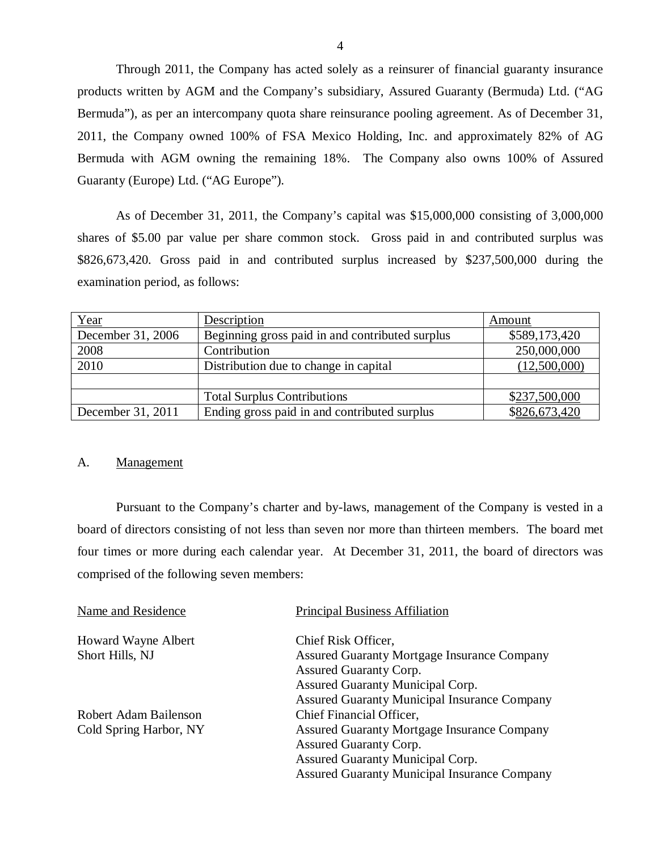Through 2011, the Company has acted solely as a reinsurer of financial guaranty insurance products written by AGM and the Company's subsidiary, Assured Guaranty (Bermuda) Ltd. ("AG Bermuda"), as per an intercompany quota share reinsurance pooling agreement. As of December 31, 2011, the Company owned 100% of FSA Mexico Holding, Inc. and approximately 82% of AG Bermuda with AGM owning the remaining 18%. The Company also owns 100% of Assured Guaranty (Europe) Ltd. ("AG Europe").

As of December 31, 2011, the Company's capital was \$15,000,000 consisting of 3,000,000 shares of \$5.00 par value per share common stock. Gross paid in and contributed surplus was \$826,673,420. Gross paid in and contributed surplus increased by \$237,500,000 during the examination period, as follows:

| Year              | Description                                     | Amount        |
|-------------------|-------------------------------------------------|---------------|
| December 31, 2006 | Beginning gross paid in and contributed surplus | \$589,173,420 |
| 2008              | Contribution                                    | 250,000,000   |
| 2010              | Distribution due to change in capital           | (12,500,000)  |
|                   |                                                 |               |
|                   | <b>Total Surplus Contributions</b>              | \$237,500,000 |
| December 31, 2011 | Ending gross paid in and contributed surplus    | \$826,673,420 |

### A. Management

Pursuant to the Company's charter and by-laws, management of the Company is vested in a board of directors consisting of not less than seven nor more than thirteen members. The board met four times or more during each calendar year. At December 31, 2011, the board of directors was comprised of the following seven members:

| Name and Residence     | <b>Principal Business Affiliation</b>               |
|------------------------|-----------------------------------------------------|
| Howard Wayne Albert    | Chief Risk Officer,                                 |
| Short Hills, NJ        | <b>Assured Guaranty Mortgage Insurance Company</b>  |
|                        | <b>Assured Guaranty Corp.</b>                       |
|                        | <b>Assured Guaranty Municipal Corp.</b>             |
|                        | <b>Assured Guaranty Municipal Insurance Company</b> |
| Robert Adam Bailenson  | Chief Financial Officer,                            |
| Cold Spring Harbor, NY | <b>Assured Guaranty Mortgage Insurance Company</b>  |
|                        | <b>Assured Guaranty Corp.</b>                       |
|                        | <b>Assured Guaranty Municipal Corp.</b>             |
|                        | <b>Assured Guaranty Municipal Insurance Company</b> |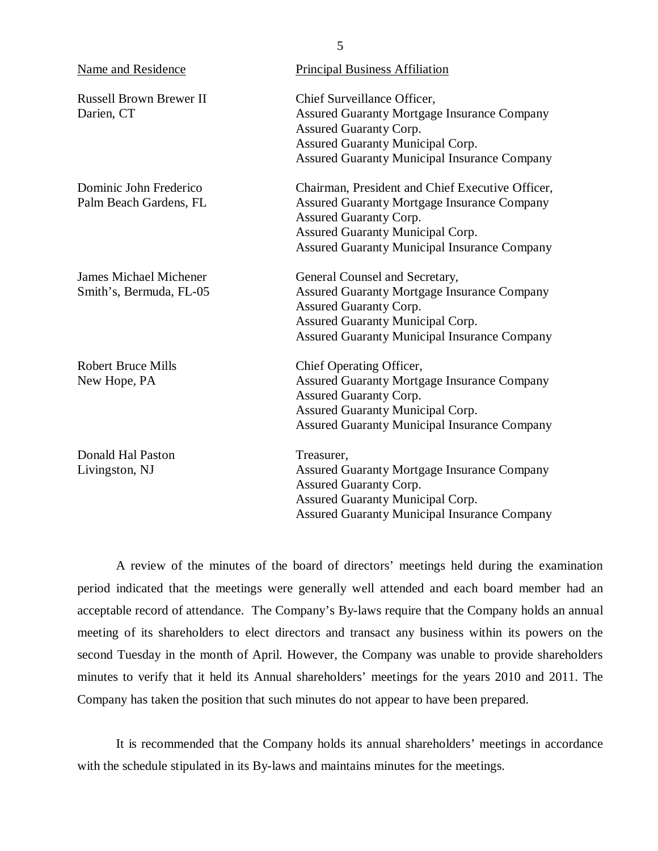| <b>Name and Residence</b>                                | <b>Principal Business Affiliation</b>                                                                                                                                                                                              |
|----------------------------------------------------------|------------------------------------------------------------------------------------------------------------------------------------------------------------------------------------------------------------------------------------|
| <b>Russell Brown Brewer II</b><br>Darien, CT             | Chief Surveillance Officer,<br><b>Assured Guaranty Mortgage Insurance Company</b><br><b>Assured Guaranty Corp.</b><br>Assured Guaranty Municipal Corp.<br><b>Assured Guaranty Municipal Insurance Company</b>                      |
| Dominic John Frederico<br>Palm Beach Gardens, FL         | Chairman, President and Chief Executive Officer,<br><b>Assured Guaranty Mortgage Insurance Company</b><br><b>Assured Guaranty Corp.</b><br>Assured Guaranty Municipal Corp.<br><b>Assured Guaranty Municipal Insurance Company</b> |
| <b>James Michael Michener</b><br>Smith's, Bermuda, FL-05 | General Counsel and Secretary,<br><b>Assured Guaranty Mortgage Insurance Company</b><br><b>Assured Guaranty Corp.</b><br>Assured Guaranty Municipal Corp.<br><b>Assured Guaranty Municipal Insurance Company</b>                   |
| <b>Robert Bruce Mills</b><br>New Hope, PA                | Chief Operating Officer,<br><b>Assured Guaranty Mortgage Insurance Company</b><br>Assured Guaranty Corp.<br>Assured Guaranty Municipal Corp.<br><b>Assured Guaranty Municipal Insurance Company</b>                                |
| Donald Hal Paston<br>Livingston, NJ                      | Treasurer,<br><b>Assured Guaranty Mortgage Insurance Company</b><br><b>Assured Guaranty Corp.</b><br>Assured Guaranty Municipal Corp.<br><b>Assured Guaranty Municipal Insurance Company</b>                                       |

A review of the minutes of the board of directors' meetings held during the examination period indicated that the meetings were generally well attended and each board member had an acceptable record of attendance. The Company's By-laws require that the Company holds an annual meeting of its shareholders to elect directors and transact any business within its powers on the second Tuesday in the month of April. However, the Company was unable to provide shareholders minutes to verify that it held its Annual shareholders' meetings for the years 2010 and 2011. The Company has taken the position that such minutes do not appear to have been prepared.

It is recommended that the Company holds its annual shareholders' meetings in accordance with the schedule stipulated in its By-laws and maintains minutes for the meetings.

5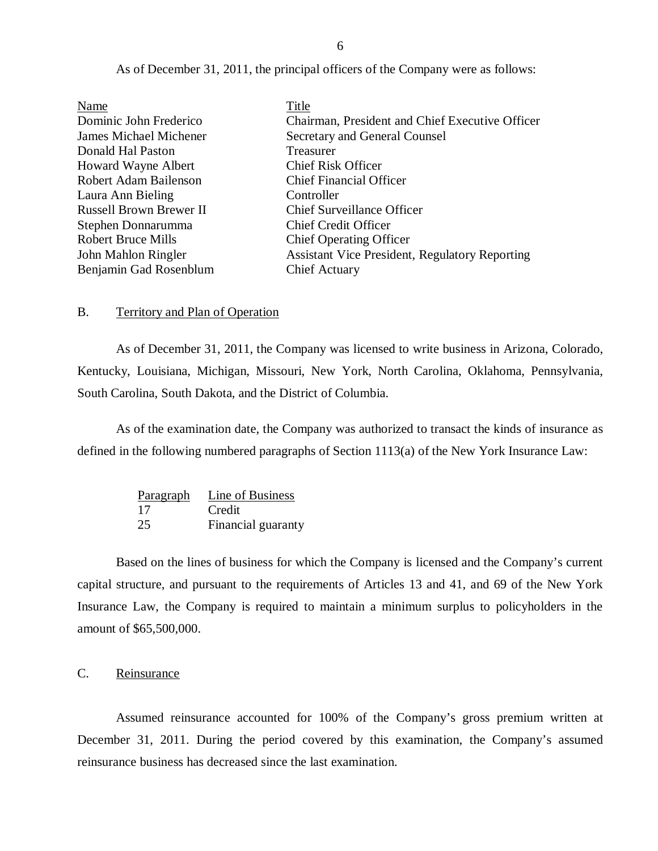<span id="page-7-0"></span>

| Name                           | Title                                                 |
|--------------------------------|-------------------------------------------------------|
| Dominic John Frederico         | Chairman, President and Chief Executive Officer       |
| <b>James Michael Michener</b>  | Secretary and General Counsel                         |
| Donald Hal Paston              | Treasurer                                             |
| Howard Wayne Albert            | <b>Chief Risk Officer</b>                             |
| <b>Robert Adam Bailenson</b>   | <b>Chief Financial Officer</b>                        |
| Laura Ann Bieling              | Controller                                            |
| <b>Russell Brown Brewer II</b> | <b>Chief Surveillance Officer</b>                     |
| Stephen Donnarumma             | <b>Chief Credit Officer</b>                           |
| <b>Robert Bruce Mills</b>      | <b>Chief Operating Officer</b>                        |
| John Mahlon Ringler            | <b>Assistant Vice President, Regulatory Reporting</b> |
| Benjamin Gad Rosenblum         | <b>Chief Actuary</b>                                  |

As of December 31, 2011, the principal officers of the Company were as follows:

#### B. Territory and Plan of Operation

As of December 31, 2011, the Company was licensed to write business in Arizona, Colorado, Kentucky, Louisiana, Michigan, Missouri, New York, North Carolina, Oklahoma, Pennsylvania, South Carolina, South Dakota, and the District of Columbia.

As of the examination date, the Company was authorized to transact the kinds of insurance as defined in the following numbered paragraphs of Section 1113(a) of the New York Insurance Law:

| Paragraph | Line of Business   |
|-----------|--------------------|
| 17        | Credit             |
| 25        | Financial guaranty |

Based on the lines of business for which the Company is licensed and the Company's current capital structure, and pursuant to the requirements of Articles 13 and 41, and 69 of the New York Insurance Law, the Company is required to maintain a minimum surplus to policyholders in the amount of \$65,500,000.

## C. Reinsurance

Assumed reinsurance accounted for 100% of the Company's gross premium written at December 31, 2011. During the period covered by this examination, the Company's assumed reinsurance business has decreased since the last examination.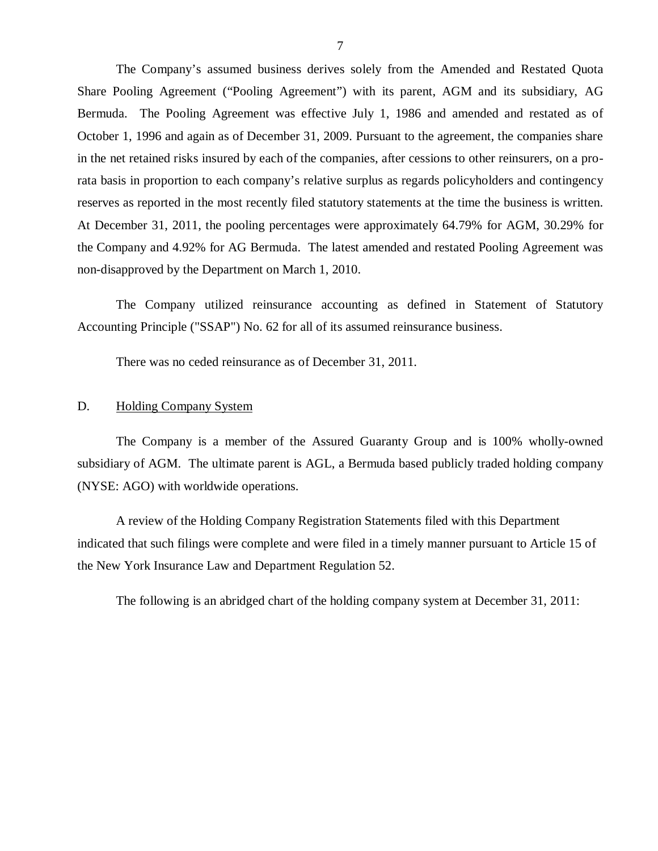<span id="page-8-0"></span>The Company's assumed business derives solely from the Amended and Restated Quota Share Pooling Agreement ("Pooling Agreement") with its parent, AGM and its subsidiary, AG Bermuda. The Pooling Agreement was effective July 1, 1986 and amended and restated as of October 1, 1996 and again as of December 31, 2009. Pursuant to the agreement, the companies share in the net retained risks insured by each of the companies, after cessions to other reinsurers, on a prorata basis in proportion to each company's relative surplus as regards policyholders and contingency reserves as reported in the most recently filed statutory statements at the time the business is written. At December 31, 2011, the pooling percentages were approximately 64.79% for AGM, 30.29% for the Company and 4.92% for AG Bermuda. The latest amended and restated Pooling Agreement was non-disapproved by the Department on March 1, 2010.

The Company utilized reinsurance accounting as defined in Statement of Statutory Accounting Principle ("SSAP") No. 62 for all of its assumed reinsurance business.

There was no ceded reinsurance as of December 31, 2011.

### D. Holding Company System

The Company is a member of the Assured Guaranty Group and is 100% wholly-owned subsidiary of AGM. The ultimate parent is AGL, a Bermuda based publicly traded holding company (NYSE: AGO) with worldwide operations.

A review of the Holding Company Registration Statements filed with this Department indicated that such filings were complete and were filed in a timely manner pursuant to Article 15 of the New York Insurance Law and Department Regulation 52.

The following is an abridged chart of the holding company system at December 31, 2011: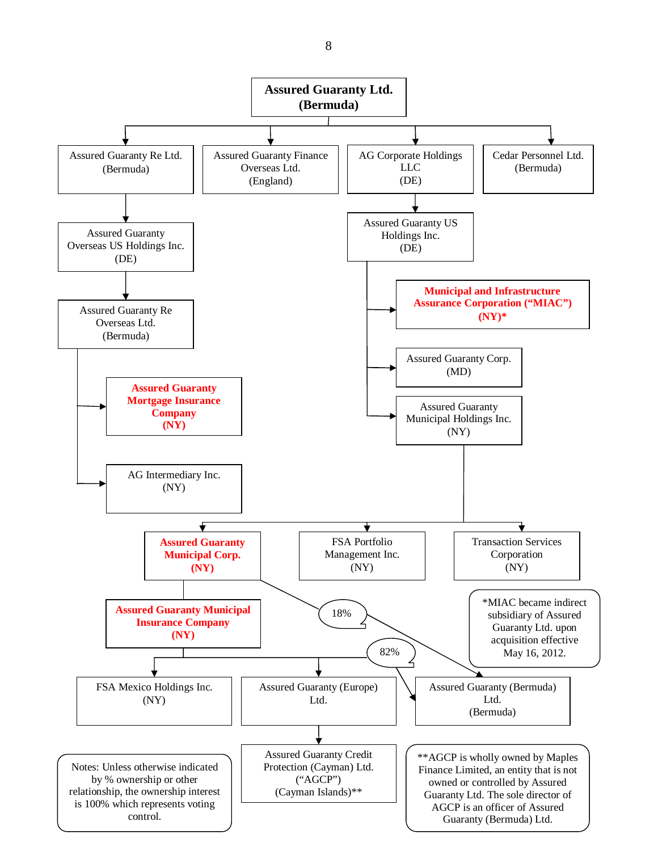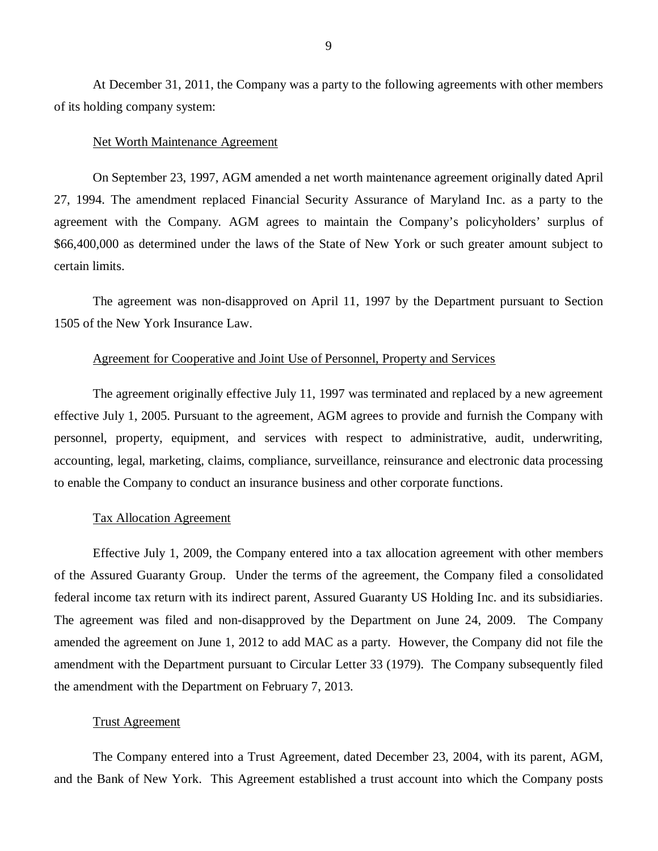At December 31, 2011, the Company was a party to the following agreements with other members of its holding company system:

### Net Worth Maintenance Agreement

On September 23, 1997, AGM amended a net worth maintenance agreement originally dated April 27, 1994. The amendment replaced Financial Security Assurance of Maryland Inc. as a party to the agreement with the Company. AGM agrees to maintain the Company's policyholders' surplus of \$66,400,000 as determined under the laws of the State of New York or such greater amount subject to certain limits.

The agreement was non-disapproved on April 11, 1997 by the Department pursuant to Section 1505 of the New York Insurance Law.

#### Agreement for Cooperative and Joint Use of Personnel, Property and Services

The agreement originally effective July 11, 1997 was terminated and replaced by a new agreement effective July 1, 2005. Pursuant to the agreement, AGM agrees to provide and furnish the Company with personnel, property, equipment, and services with respect to administrative, audit, underwriting, accounting, legal, marketing, claims, compliance, surveillance, reinsurance and electronic data processing to enable the Company to conduct an insurance business and other corporate functions.

#### Tax Allocation Agreement

Effective July 1, 2009, the Company entered into a tax allocation agreement with other members of the Assured Guaranty Group. Under the terms of the agreement, the Company filed a consolidated federal income tax return with its indirect parent, Assured Guaranty US Holding Inc. and its subsidiaries. The agreement was filed and non-disapproved by the Department on June 24, 2009. The Company amended the agreement on June 1, 2012 to add MAC as a party. However, the Company did not file the amendment with the Department pursuant to Circular Letter 33 (1979). The Company subsequently filed the amendment with the Department on February 7, 2013.

#### Trust Agreement

The Company entered into a Trust Agreement, dated December 23, 2004, with its parent, AGM, and the Bank of New York. This Agreement established a trust account into which the Company posts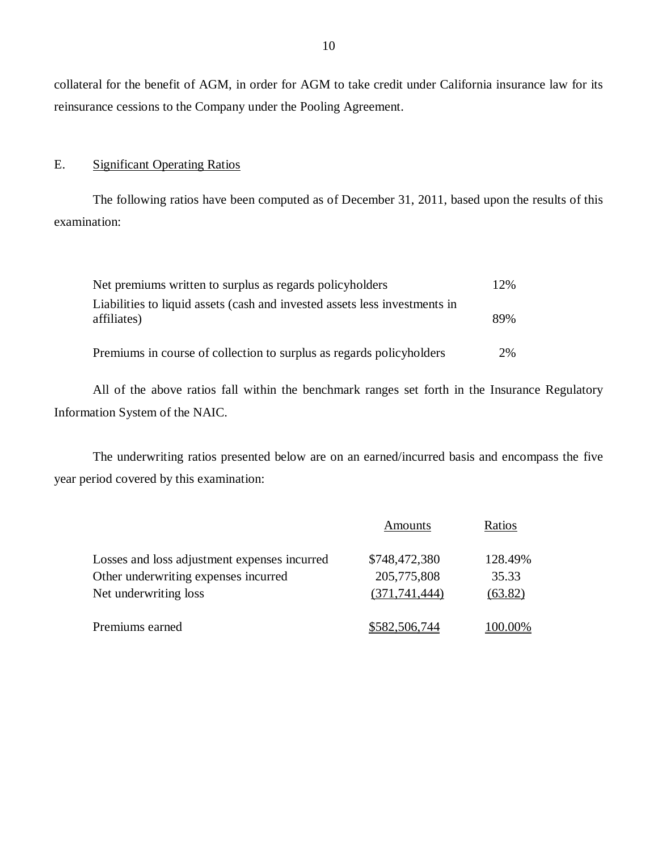collateral for the benefit of AGM, in order for AGM to take credit under California insurance law for its reinsurance cessions to the Company under the Pooling Agreement.

## E. Significant Operating Ratios

The following ratios have been computed as of December 31, 2011, based upon the results of this examination:

| Net premiums written to surplus as regards policyholders                                  | $12\%$ |
|-------------------------------------------------------------------------------------------|--------|
| Liabilities to liquid assets (cash and invested assets less investments in<br>affiliates) | 89%    |
| Premiums in course of collection to surplus as regards policyholders                      | 2%     |

All of the above ratios fall within the benchmark ranges set forth in the Insurance Regulatory Information System of the NAIC.

The underwriting ratios presented below are on an earned/incurred basis and encompass the five year period covered by this examination:

|                                              | Amounts         | Ratios    |
|----------------------------------------------|-----------------|-----------|
| Losses and loss adjustment expenses incurred | \$748,472,380   | 128.49%   |
| Other underwriting expenses incurred         | 205,775,808     | 35.33     |
| Net underwriting loss                        | (371, 741, 444) | (63.82)   |
| Premiums earned                              | \$582,506,744   | $00.00\%$ |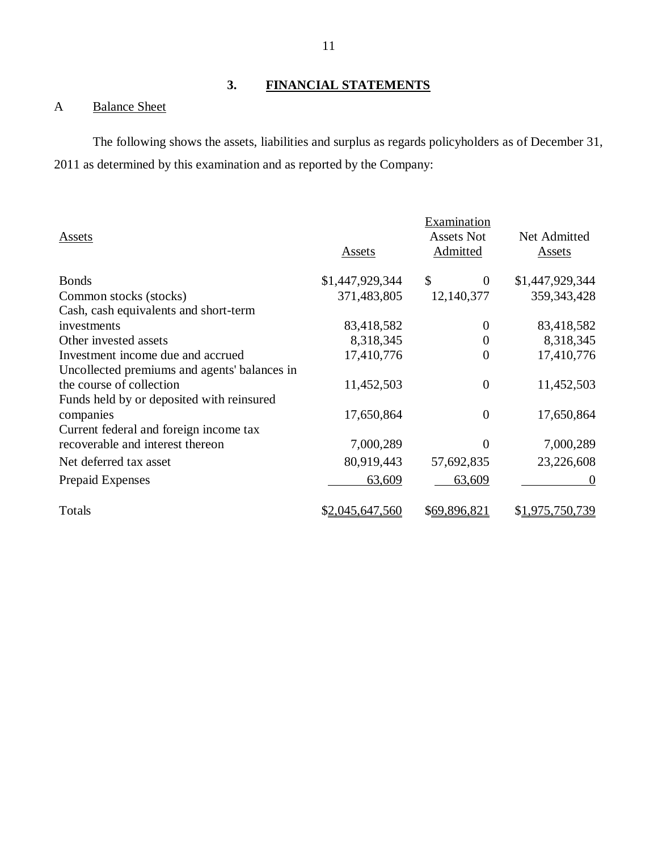## A Balance Sheet

The following shows the assets, liabilities and surplus as regards policyholders as of December 31, 2011 as determined by this examination and as reported by the Company:

| Assets                                       |                 | Examination<br><b>Assets Not</b> | Net Admitted    |
|----------------------------------------------|-----------------|----------------------------------|-----------------|
|                                              | Assets          | Admitted                         | Assets          |
| <b>Bonds</b>                                 | \$1,447,929,344 | \$<br>$\theta$                   | \$1,447,929,344 |
| Common stocks (stocks)                       | 371,483,805     | 12,140,377                       | 359, 343, 428   |
| Cash, cash equivalents and short-term        |                 |                                  |                 |
| investments                                  | 83,418,582      | $\theta$                         | 83,418,582      |
| Other invested assets                        | 8,318,345       | $\overline{0}$                   | 8,318,345       |
| Investment income due and accrued            | 17,410,776      | $\overline{0}$                   | 17,410,776      |
| Uncollected premiums and agents' balances in |                 |                                  |                 |
| the course of collection                     | 11,452,503      | $\overline{0}$                   | 11,452,503      |
| Funds held by or deposited with reinsured    |                 |                                  |                 |
| companies                                    | 17,650,864      | $\overline{0}$                   | 17,650,864      |
| Current federal and foreign income tax       |                 |                                  |                 |
| recoverable and interest thereon             | 7,000,289       | $\theta$                         | 7,000,289       |
| Net deferred tax asset                       | 80,919,443      | 57,692,835                       | 23,226,608      |
| <b>Prepaid Expenses</b>                      | 63,609          | 63,609                           | $\Omega$        |
| Totals                                       | \$2,045,647,560 | \$69,896,821                     | \$1,975,750,739 |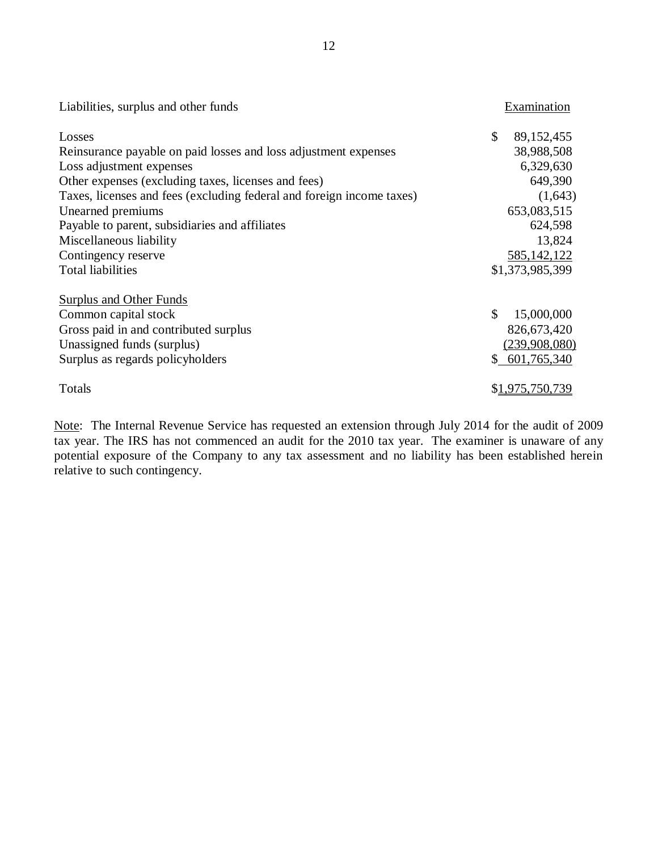| Liabilities, surplus and other funds                                  | Examination      |
|-----------------------------------------------------------------------|------------------|
| Losses                                                                | \$<br>89,152,455 |
| Reinsurance payable on paid losses and loss adjustment expenses       | 38,988,508       |
| Loss adjustment expenses                                              | 6,329,630        |
| Other expenses (excluding taxes, licenses and fees)                   | 649,390          |
| Taxes, licenses and fees (excluding federal and foreign income taxes) | (1,643)          |
| Unearned premiums                                                     | 653,083,515      |
| Payable to parent, subsidiaries and affiliates                        | 624,598          |
| Miscellaneous liability                                               | 13,824           |
| Contingency reserve                                                   | 585, 142, 122    |
| <b>Total liabilities</b>                                              | \$1,373,985,399  |
| <b>Surplus and Other Funds</b>                                        |                  |
| Common capital stock                                                  | \$<br>15,000,000 |
| Gross paid in and contributed surplus                                 | 826,673,420      |
| Unassigned funds (surplus)                                            | (239,908,080)    |
| Surplus as regards policyholders                                      | \$601,765,340    |
| Totals                                                                | \$1,975,750,739  |

Note: The Internal Revenue Service has requested an extension through July 2014 for the audit of 2009 tax year. The IRS has not commenced an audit for the 2010 tax year. The examiner is unaware of any potential exposure of the Company to any tax assessment and no liability has been established herein relative to such contingency.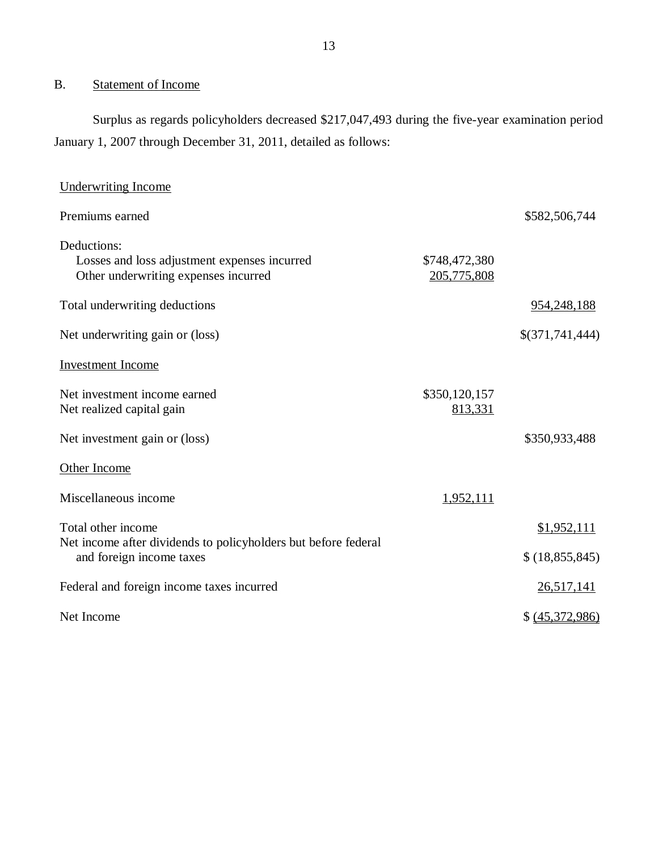## B. Statement of Income

Surplus as regards policyholders decreased \$217,047,493 during the five-year examination period January 1, 2007 through December 31, 2011, detailed as follows:

| <b>Underwriting Income</b>                                                                          |                              |                   |
|-----------------------------------------------------------------------------------------------------|------------------------------|-------------------|
| Premiums earned                                                                                     |                              | \$582,506,744     |
| Deductions:<br>Losses and loss adjustment expenses incurred<br>Other underwriting expenses incurred | \$748,472,380<br>205,775,808 |                   |
| Total underwriting deductions                                                                       |                              | 954, 248, 188     |
| Net underwriting gain or (loss)                                                                     |                              | \$(371,741,444)   |
| <b>Investment Income</b>                                                                            |                              |                   |
| Net investment income earned<br>Net realized capital gain                                           | \$350,120,157<br>813,331     |                   |
| Net investment gain or (loss)                                                                       |                              | \$350,933,488     |
| Other Income                                                                                        |                              |                   |
| Miscellaneous income                                                                                | 1,952,111                    |                   |
| Total other income                                                                                  |                              | \$1,952,111       |
| Net income after dividends to policyholders but before federal<br>and foreign income taxes          |                              | \$(18,855,845)    |
| Federal and foreign income taxes incurred                                                           |                              | <u>26,517,141</u> |
| Net Income                                                                                          |                              | \$ (45,372,986)   |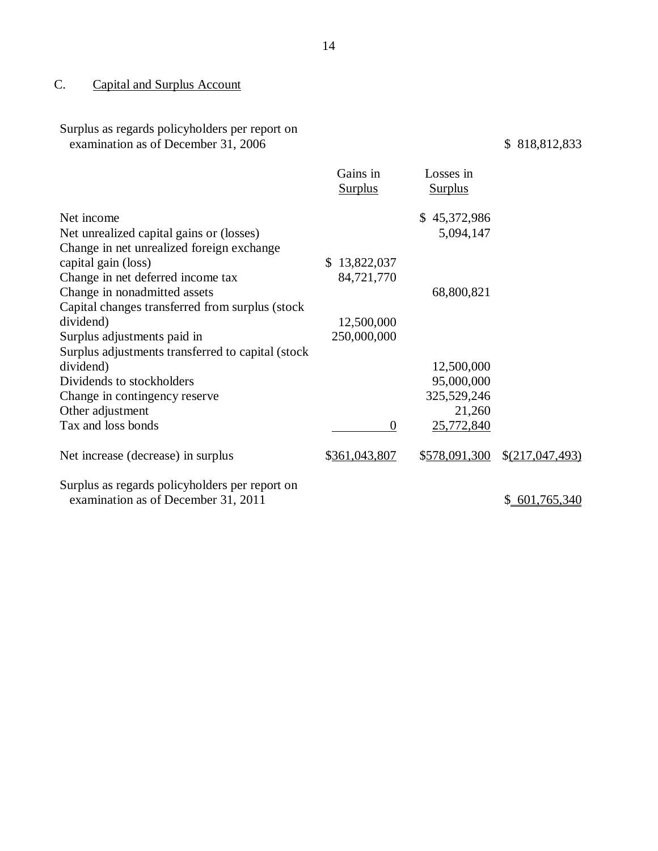## C. Capital and Surplus Account

Surplus as regards policyholders per report on examination as of December 31, 2006  $$818,812,833$ 

|                                                                                       | Gains in<br><b>Surplus</b> | Losses in<br><b>Surplus</b> |                   |
|---------------------------------------------------------------------------------------|----------------------------|-----------------------------|-------------------|
| Net income                                                                            |                            | \$45,372,986                |                   |
| Net unrealized capital gains or (losses)                                              |                            | 5,094,147                   |                   |
| Change in net unrealized foreign exchange                                             |                            |                             |                   |
| capital gain (loss)                                                                   | \$13,822,037               |                             |                   |
| Change in net deferred income tax                                                     | 84,721,770                 |                             |                   |
| Change in nonadmitted assets                                                          |                            | 68,800,821                  |                   |
| Capital changes transferred from surplus (stock)                                      |                            |                             |                   |
| dividend)                                                                             | 12,500,000                 |                             |                   |
| Surplus adjustments paid in                                                           | 250,000,000                |                             |                   |
| Surplus adjustments transferred to capital (stock)                                    |                            |                             |                   |
| dividend)                                                                             |                            | 12,500,000                  |                   |
| Dividends to stockholders                                                             |                            | 95,000,000                  |                   |
| Change in contingency reserve                                                         |                            | 325,529,246                 |                   |
| Other adjustment                                                                      |                            | 21,260                      |                   |
| Tax and loss bonds                                                                    | $\Omega$                   | 25,772,840                  |                   |
| Net increase (decrease) in surplus                                                    | \$361,043,807              | \$578,091,300               | \$(217, 047, 493) |
| Surplus as regards policyholders per report on<br>examination as of December 31, 2011 |                            |                             | \$601,765,340     |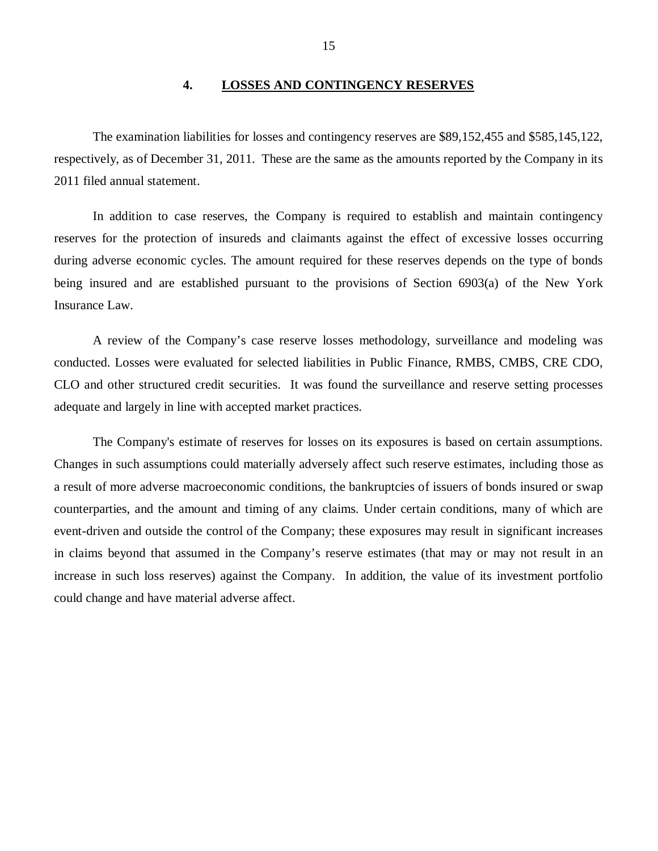### **4. LOSSES AND CONTINGENCY RESERVES**

<span id="page-16-0"></span>The examination liabilities for losses and contingency reserves are \$89,152,455 and \$585,145,122, respectively, as of December 31, 2011. These are the same as the amounts reported by the Company in its 2011 filed annual statement.

In addition to case reserves, the Company is required to establish and maintain contingency reserves for the protection of insureds and claimants against the effect of excessive losses occurring during adverse economic cycles. The amount required for these reserves depends on the type of bonds being insured and are established pursuant to the provisions of Section 6903(a) of the New York Insurance Law.

A review of the Company's case reserve losses methodology, surveillance and modeling was conducted. Losses were evaluated for selected liabilities in Public Finance, RMBS, CMBS, CRE CDO, CLO and other structured credit securities. It was found the surveillance and reserve setting processes adequate and largely in line with accepted market practices.

The Company's estimate of reserves for losses on its exposures is based on certain assumptions. Changes in such assumptions could materially adversely affect such reserve estimates, including those as a result of more adverse macroeconomic conditions, the bankruptcies of issuers of bonds insured or swap counterparties, and the amount and timing of any claims. Under certain conditions, many of which are event-driven and outside the control of the Company; these exposures may result in significant increases in claims beyond that assumed in the Company's reserve estimates (that may or may not result in an increase in such loss reserves) against the Company. In addition, the value of its investment portfolio could change and have material adverse affect.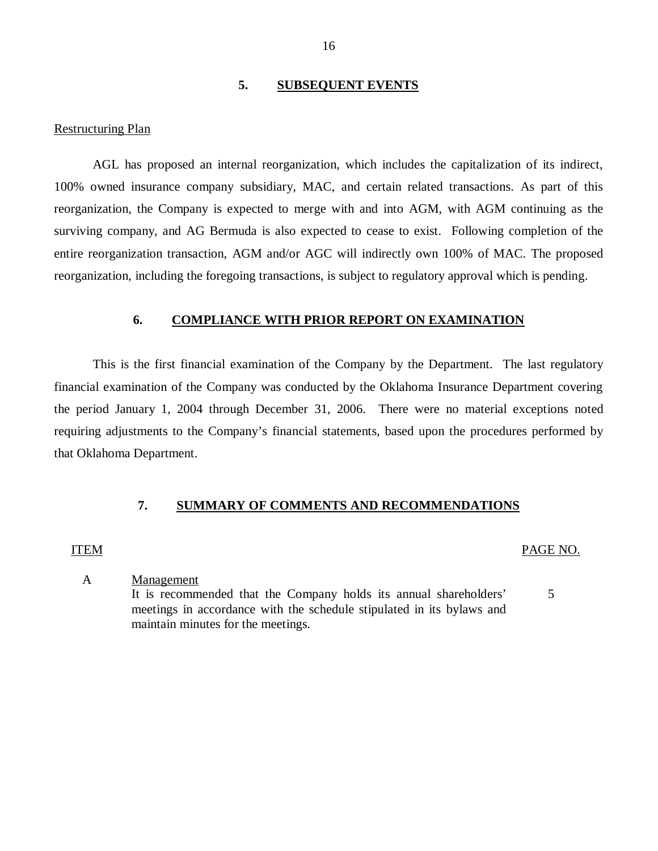## **5. SUBSEQUENT EVENTS**

#### <span id="page-17-0"></span>Restructuring Plan

AGL has proposed an internal reorganization, which includes the capitalization of its indirect, 100% owned insurance company subsidiary, MAC, and certain related transactions. As part of this reorganization, the Company is expected to merge with and into AGM, with AGM continuing as the surviving company, and AG Bermuda is also expected to cease to exist. Following completion of the entire reorganization transaction, AGM and/or AGC will indirectly own 100% of MAC. The proposed reorganization, including the foregoing transactions, is subject to regulatory approval which is pending.

## **6. COMPLIANCE WITH PRIOR REPORT ON EXAMINATION**

This is the first financial examination of the Company by the Department. The last regulatory financial examination of the Company was conducted by the Oklahoma Insurance Department covering the period January 1, 2004 through December 31, 2006. There were no material exceptions noted requiring adjustments to the Company's financial statements, based upon the procedures performed by that Oklahoma Department.

#### **7. SUMMARY OF COMMENTS AND RECOMMENDATIONS**

#### ITEM PAGE NO.

A Management

It is recommended that the Company holds its annual shareholders' 5 meetings in accordance with the schedule stipulated in its bylaws and maintain minutes for the meetings.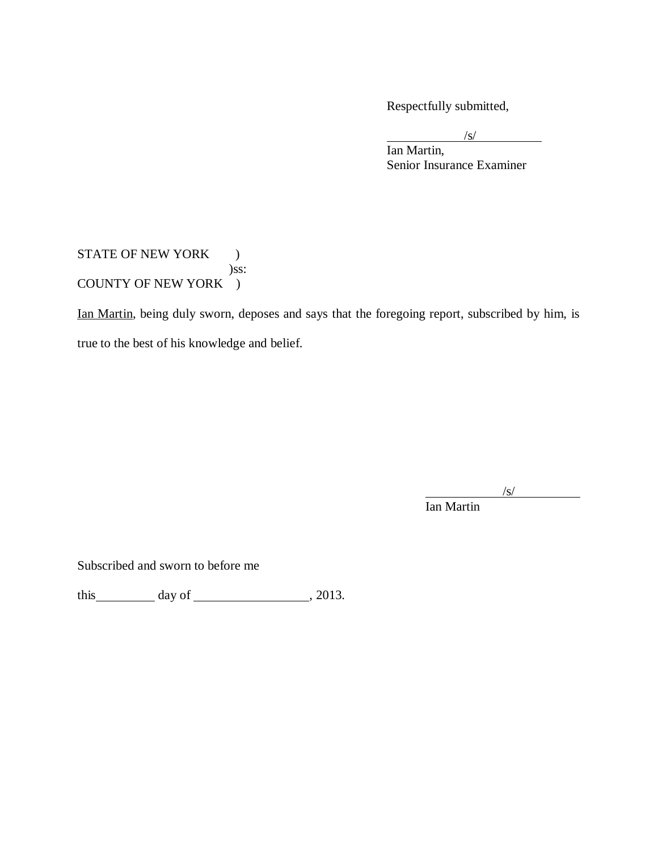Respectfully submitted,

 $/s/$ 

Ian Martin, Senior Insurance Examiner

## STATE OF NEW YORK  $\qquad \, )$ )ss: COUNTY OF NEW YORK )

Ian Martin, being duly sworn, deposes and says that the foregoing report, subscribed by him, is true to the best of his knowledge and belief.

 $\sqrt{s}$ /

Ian Martin

Subscribed and sworn to before me

this  $\_\_\_\_\_\$  day of  $\_\_\_\_\_\_\_\_\$ , 2013.